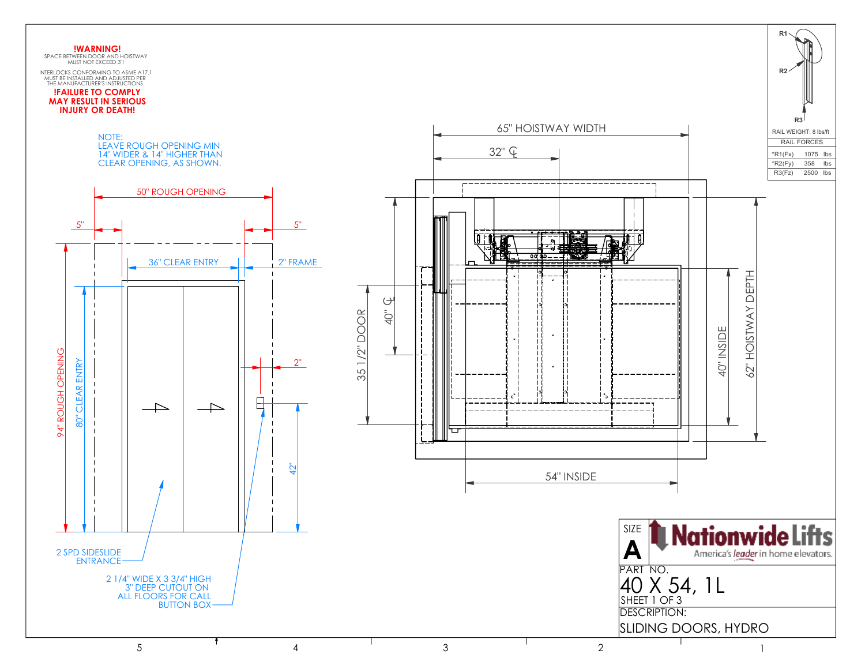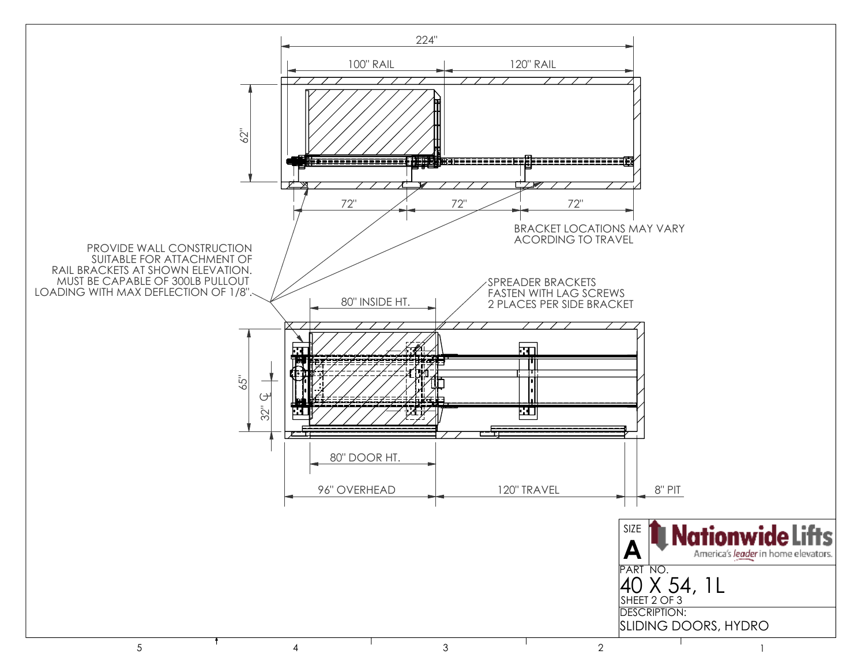